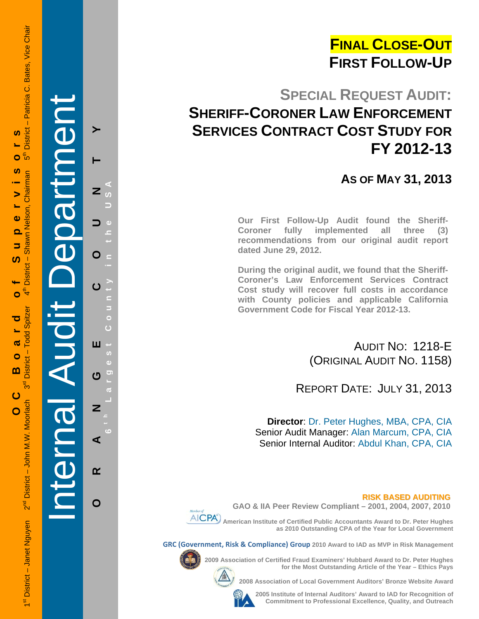## **FINAL CLOSE-OUT FIRST FOLLOW-UP**

## **SPECIAL REQUEST AUDIT: SHERIFF-CORONER LAW ENFORCEMENT SERVICES CONTRACT COST STUDY FOR FY 2012-13**

## **AS OF MAY 31, 2013**

**Our First Follow-Up Audit found the Sheriff-Coroner fully implemented all three (3) recommendations from our original audit report dated June 29, 2012.** 

**During the original audit, we found that the Sheriff-Coroner's Law Enforcement Services Contract Cost study will recover full costs in accordance with County policies and applicable California Government Code for Fiscal Year 2012-13.** 

> AUDIT NO: 1218-E (ORIGINAL AUDIT NO. 1158)

REPORT DATE: JULY 31, 2013

**Director**: Dr. Peter Hughes, MBA, CPA, CIA Senior Audit Manager: Alan Marcum, CPA, CIA Senior Internal Auditor: Abdul Khan, CPA, CIA

**RISK BASED AUDITING**



**GAO & IIA Peer Review Compliant – 2001, 2004, 2007, 2010** 

 **American Institute of Certified Public Accountants Award to Dr. Peter Hughes as 2010 Outstanding CPA of the Year for Local Government** 

**GRC (Government, Risk & Compliance) Group 2010 Award to IAD as MVP in Risk Management** 



**2009 Association of Certified Fraud Examiners' Hubbard Award to Dr. Peter Hughes** 

**2008 Association of Local Government Auditors' Bronze Website Award** 

**2005 Institute of Internal Auditors' Award to IAD for Recognition of Commitment to Professional Excellence, Quality, and Outreach**

**for the Most Outstanding Article of the Year – Ethics Pays** 

1st District – Janet Nguyen 2<sup>nd</sup> District – John M.W. Moorlach 3<sup>rd</sup> District – Todd Spitzer 4th District – Shawn Nelson, Chairman 5th District – Patricia C. Bates, Vice Chair District - Patricia C. Bates, Vice Chair <u>ທ</u> **OC Board of Supervisors** ⊕ً Ō <u>ທ</u> District - Shawn Nelson, Chairman  $\blacktriangleright$  $\ddot{\mathbf{0}}$ Q 5 ഗ  $\mathbf{f}^{\mathsf{E}}$ Ó - Todd Spitzer ರ ൹  $\bullet$ **District**  $\mathbf{m}$  $3<sup>d</sup>$ ပ 2<sup>nd</sup> District - John M.W. Moorlach  $\overline{O}$ 1<sup>st</sup> District - Janet Nguyen

Internal Audit Department

**ORANGE COUNTY 6 t h Lar**

ш

 $\boldsymbol{\sigma}$ 

Z

⋖

 $\alpha$ 

O

**g**

**est Count**

**y in the USA** 

 $\overline{z}$ 

O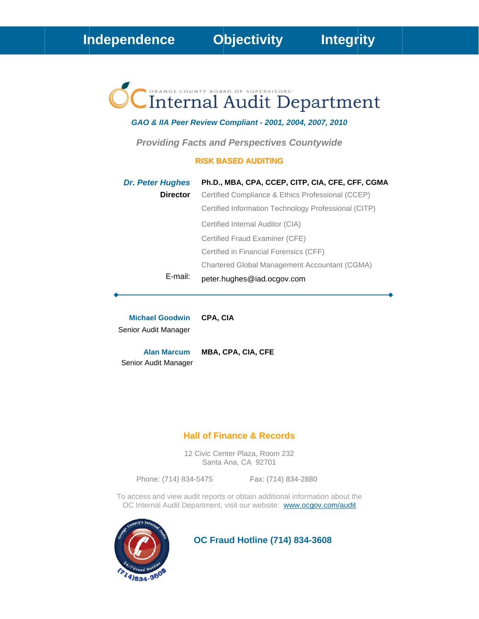# CInternal Audit Department

#### GAO & IIA Peer Review Compliant - 2001, 2004, 2007, 2010

**Providing Facts and Perspectives Countywide** 

#### **RISK BASED AUDITING**

| <b>Dr. Peter Hughes</b> | Ph.D., MBA, CPA, CCEP, CITP, CIA, CFE, CFF, CGMA     |
|-------------------------|------------------------------------------------------|
| <b>Director</b>         | Certified Compliance & Ethics Professional (CCEP)    |
|                         | Certified Information Technology Professional (CITP) |
|                         | Certified Internal Auditor (CIA)                     |
|                         | Certified Fraud Examiner (CFE)                       |
|                         | Certified in Financial Forensics (CFF)               |
|                         | Chartered Global Management Accountant (CGMA)        |
| E-mail:                 | peter.hughes@iad.ocgov.com                           |

**Michael Goodwin** CPA, CIA Senior Audit Manager

MBA, CPA, CIA, CFE **Alan Marcum** Senior Audit Manager

#### **Hall of Finance & Records**

12 Civic Center Plaza, Room 232 Santa Ana, CA 92701

Phone: (714) 834-5475 Fax: (714) 834-2880

To access and view audit reports or obtain additional information about the OC Internal Audit Department, visit our website: www.ocgov.com/audit



**OC Fraud Hotline (714) 834-3608**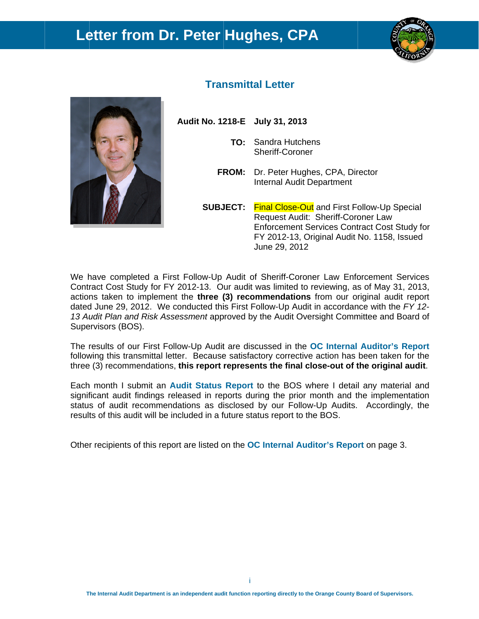## Letter from Dr. Peter Hughes, CPA





### **Transmittal Letter**

Audit No. 1218-E July 31, 2013

- **TO:** Sandra Hutchens Sheriff-Coroner
- FROM: Dr. Peter Hughes, CPA, Director **Internal Audit Department**
- **SUBJECT:** Final Close-Out and First Follow-Up Special Request Audit: Sheriff-Coroner Law Enforcement Services Contract Cost Study for FY 2012-13, Original Audit No. 1158, Issued June 29, 2012

We have completed a First Follow-Up Audit of Sheriff-Coroner Law Enforcement Services Contract Cost Study for FY 2012-13. Our audit was limited to reviewing, as of May 31, 2013, actions taken to implement the three (3) recommendations from our original audit report dated June 29, 2012. We conducted this First Follow-Up Audit in accordance with the FY 12-13 Audit Plan and Risk Assessment approved by the Audit Oversight Committee and Board of Supervisors (BOS).

The results of our First Follow-Up Audit are discussed in the OC Internal Auditor's Report following this transmittal letter. Because satisfactory corrective action has been taken for the three (3) recommendations, this report represents the final close-out of the original audit.

Each month I submit an Audit Status Report to the BOS where I detail any material and significant audit findings released in reports during the prior month and the implementation status of audit recommendations as disclosed by our Follow-Up Audits. Accordingly, the results of this audit will be included in a future status report to the BOS.

Other recipients of this report are listed on the **OC Internal Auditor's Report** on page 3.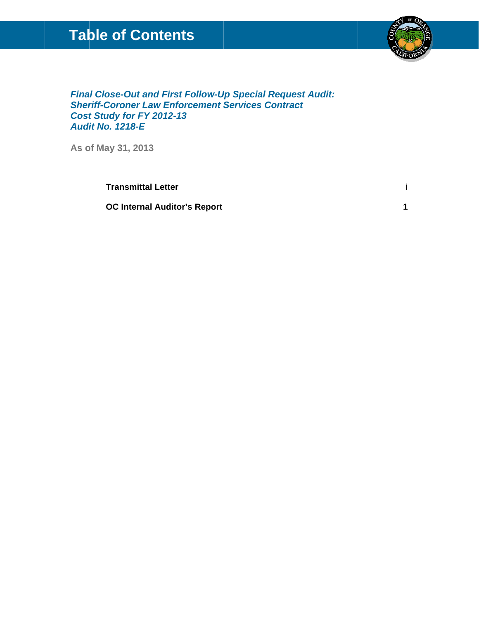## **Table of Contents**



 $\mathbf{i}$ 

 $\overline{1}$ 

**Final Close-Out and First Follow-Up Special Request Audit: Sheriff-Coroner Law Enforcement Services Contract Cost Study for FY 2012-13 Audit No. 1218-E** 

As of May 31, 2013

**Transmittal Letter** 

**OC Internal Auditor's Report**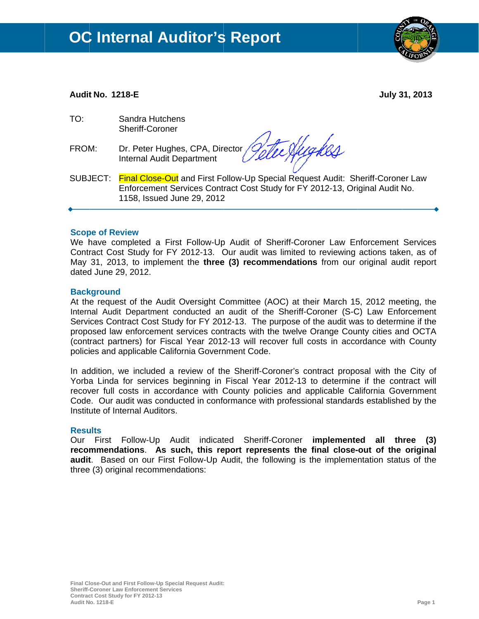

#### **Audit No. 1218-E**

**July 31, 2013** 

- $TO:$ Sandra Hutchens Sheriff-Coroner
- FROM: Dr. Peter Hughes, CPA, Director Internal Audit Department

Hughes

SUBJECT: Final Close-Out and First Follow-Up Special Request Audit: Sheriff-Coroner Law Enforcement Services Contract Cost Study for FY 2012-13, Original Audit No. 1158, Issued June 29, 2012

#### **Scope of Review**

We have completed a First Follow-Up Audit of Sheriff-Coroner Law Enforcement Services Contract Cost Study for FY 2012-13. Our audit was limited to reviewing actions taken, as of May 31, 2013, to implement the three (3) recommendations from our original audit report dated June 29, 2012.

#### **Background**

At the request of the Audit Oversight Committee (AOC) at their March 15, 2012 meeting, the Internal Audit Department conducted an audit of the Sheriff-Coroner (S-C) Law Enforcement Services Contract Cost Study for FY 2012-13. The purpose of the audit was to determine if the proposed law enforcement services contracts with the twelve Orange County cities and OCTA (contract partners) for Fiscal Year 2012-13 will recover full costs in accordance with County policies and applicable California Government Code.

In addition, we included a review of the Sheriff-Coroner's contract proposal with the City of Yorba Linda for services beginning in Fiscal Year 2012-13 to determine if the contract will recover full costs in accordance with County policies and applicable California Government Code. Our audit was conducted in conformance with professional standards established by the Institute of Internal Auditors

#### **Results**

Our First Follow-Up Audit indicated Sheriff-Coroner implemented all three (3) recommendations. As such, this report represents the final close-out of the original audit. Based on our First Follow-Up Audit, the following is the implementation status of the three (3) original recommendations: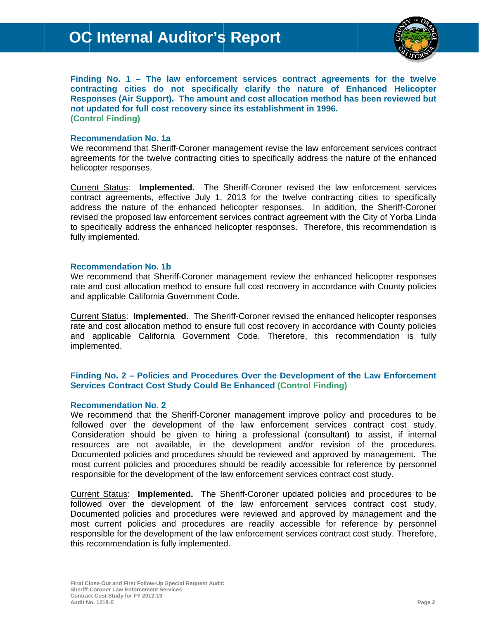

Finding No.  $1 -$  The law enforcement services contract agreements for the twelve contracting cities do not specifically clarify the nature of Enhanced Helicopter Responses (Air Support). The amount and cost allocation method has been reviewed but not updated for full cost recovery since its establishment in 1996. (Control Finding)

#### **Recommendation No. 1a**

We recommend that Sheriff-Coroner management revise the law enforcement services contract agreements for the twelve contracting cities to specifically address the nature of the enhanced helicopter responses.

Current Status: Implemented. The Sheriff-Coroner revised the law enforcement services contract agreements, effective July 1, 2013 for the twelve contracting cities to specifically address the nature of the enhanced helicopter responses. In addition, the Sheriff-Coroner revised the proposed law enforcement services contract agreement with the City of Yorba Linda to specifically address the enhanced helicopter responses. Therefore, this recommendation is fully implemented.

#### **Recommendation No. 1b**

We recommend that Sheriff-Coroner management review the enhanced helicopter responses rate and cost allocation method to ensure full cost recovery in accordance with County policies and applicable California Government Code.

Current Status: Implemented. The Sheriff-Coroner revised the enhanced helicopter responses rate and cost allocation method to ensure full cost recovery in accordance with County policies and applicable California Government Code. Therefore, this recommendation is fully implemented.

#### Finding No. 2 - Policies and Procedures Over the Development of the Law Enforcement **Services Contract Cost Study Could Be Enhanced (Control Finding)**

#### **Recommendation No. 2**

We recommend that the Sheriff-Coroner management improve policy and procedures to be followed over the development of the law enforcement services contract cost study. Consideration should be given to hiring a professional (consultant) to assist, if internal resources are not available, in the development and/or revision of the procedures. Documented policies and procedures should be reviewed and approved by management. The most current policies and procedures should be readily accessible for reference by personnel responsible for the development of the law enforcement services contract cost study.

Current Status: Implemented. The Sheriff-Coroner updated policies and procedures to be followed over the development of the law enforcement services contract cost study. Documented policies and procedures were reviewed and approved by management and the most current policies and procedures are readily accessible for reference by personnel responsible for the development of the law enforcement services contract cost study. Therefore, this recommendation is fully implemented.